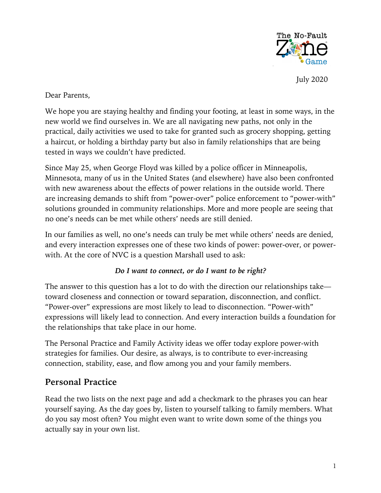

July 2020

Dear Parents,

We hope you are staying healthy and finding your footing, at least in some ways, in the new world we find ourselves in. We are all navigating new paths, not only in the practical, daily activities we used to take for granted such as grocery shopping, getting a haircut, or holding a birthday party but also in family relationships that are being tested in ways we couldn't have predicted.

Since May 25, when George Floyd was killed by a police officer in Minneapolis, Minnesota, many of us in the United States (and elsewhere) have also been confronted with new awareness about the effects of power relations in the outside world. There are increasing demands to shift from "power-over" police enforcement to "power-with" solutions grounded in community relationships. More and more people are seeing that no one's needs can be met while others' needs are still denied.

In our families as well, no one's needs can truly be met while others' needs are denied, and every interaction expresses one of these two kinds of power: power-over, or powerwith. At the core of NVC is a question Marshall used to ask:

#### *Do I want to connect, or do I want to be right?*

The answer to this question has a lot to do with the direction our relationships take toward closeness and connection or toward separation, disconnection, and conflict. "Power-over" expressions are most likely to lead to disconnection. "Power-with" expressions will likely lead to connection. And every interaction builds a foundation for the relationships that take place in our home.

The Personal Practice and Family Activity ideas we offer today explore power-with strategies for families. Our desire, as always, is to contribute to ever-increasing connection, stability, ease, and flow among you and your family members.

## **Personal Practice**

Read the two lists on the next page and add a checkmark to the phrases you can hear yourself saying. As the day goes by, listen to yourself talking to family members. What do you say most often? You might even want to write down some of the things you actually say in your own list.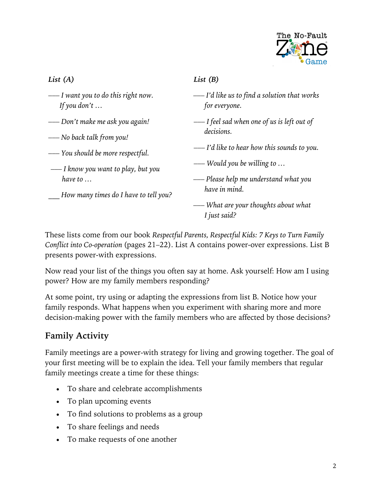

### *List (A)*

- *––– I want you to do this right now. If you don't …*
- *––– Don't make me ask you again!*
- *––– No back talk from you!*
- *––– You should be more respectful.*
- *––– I know you want to play, but you have to …*
- *How many times do I have to tell you?*

### *List (B)*

- *––– I'd like us to find a solution that works for everyone.*
- *––– I feel sad when one of us is left out of decisions.*
- *––– I'd like to hear how this sounds to you.*

*––– Would you be willing to …*

*––– Please help me understand what you have in mind.*

*––– What are your thoughts about what I just said?*

These lists come from our book *Respectful Parents, Respectful Kids: 7 Keys to Turn Family Conflict into Co-operation* (pages 21–22). List A contains power-over expressions. List B presents power-with expressions.

Now read your list of the things you often say at home. Ask yourself: How am I using power? How are my family members responding?

At some point, try using or adapting the expressions from list B. Notice how your family responds. What happens when you experiment with sharing more and more decision-making power with the family members who are affected by those decisions?

# **Family Activity**

Family meetings are a power-with strategy for living and growing together. The goal of your first meeting will be to explain the idea. Tell your family members that regular family meetings create a time for these things:

- To share and celebrate accomplishments
- To plan upcoming events
- To find solutions to problems as a group
- To share feelings and needs
- To make requests of one another